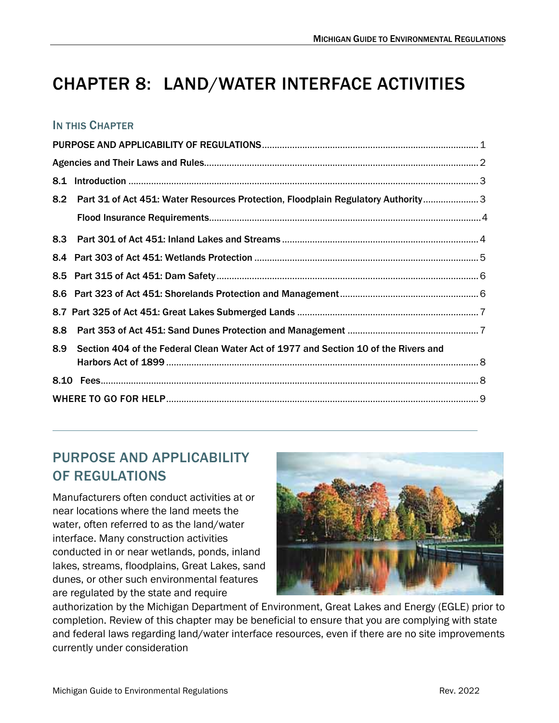# CHAPTER 8: LAND/WATER INTERFACE ACTIVITIES

#### IN THIS CHAPTER

 $\overline{a}$ 

| 8.2 | Part 31 of Act 451: Water Resources Protection, Floodplain Regulatory Authority 3   |  |  |  |
|-----|-------------------------------------------------------------------------------------|--|--|--|
|     |                                                                                     |  |  |  |
| 8.3 |                                                                                     |  |  |  |
|     |                                                                                     |  |  |  |
|     |                                                                                     |  |  |  |
|     |                                                                                     |  |  |  |
|     |                                                                                     |  |  |  |
| 8.8 |                                                                                     |  |  |  |
| 8.9 | Section 404 of the Federal Clean Water Act of 1977 and Section 10 of the Rivers and |  |  |  |
|     |                                                                                     |  |  |  |
|     |                                                                                     |  |  |  |
|     |                                                                                     |  |  |  |

# <span id="page-0-0"></span>PURPOSE AND APPLICABILITY OF REGULATIONS

Manufacturers often conduct activities at or near locations where the land meets the water, often referred to as the land/water interface. Many construction activities conducted in or near wetlands, ponds, inland lakes, streams, floodplains, Great Lakes, sand dunes, or other such environmental features are regulated by the state and require



authorization by the Michigan Department of Environment, Great Lakes and Energy (EGLE) prior to completion. Review of this chapter may be beneficial to ensure that you are complying with state and federal laws regarding land/water interface resources, even if there are no site improvements currently under consideration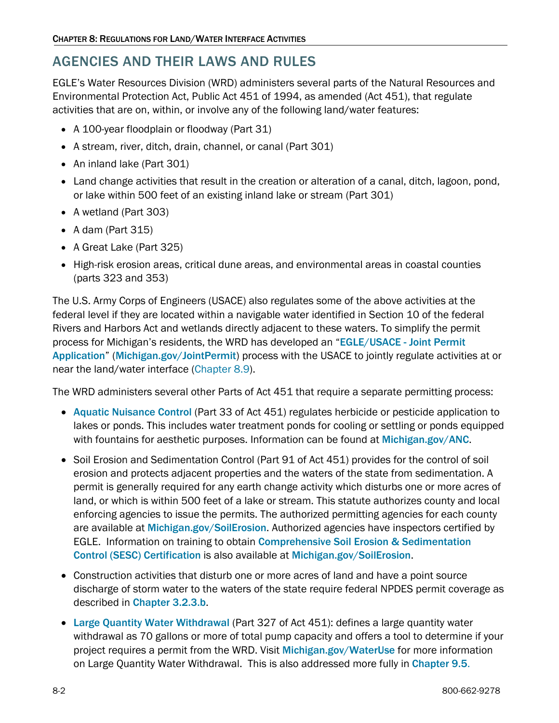### <span id="page-1-0"></span>AGENCIES AND THEIR LAWS AND RULES

EGLE's Water Resources Division (WRD) administers several parts of the Natural Resources and Environmental Protection Act, Public Act 451 of 1994, as amended (Act 451), that regulate activities that are on, within, or involve any of the following land/water features:

- A 100-year floodplain or floodway (Part 31)
- A stream, river, ditch, drain, channel, or canal (Part 301)
- An inland lake (Part 301)
- Land change activities that result in the creation or alteration of a canal, ditch, lagoon, pond, or lake within 500 feet of an existing inland lake or stream (Part 301)
- A wetland (Part 303)
- A dam (Part 315)
- A Great Lake (Part 325)
- High-risk erosion areas, critical dune areas, and environmental areas in coastal counties (parts 323 and 353)

The U.S. Army Corps of Engineers (USACE) also regulates some of the above activities at the federal level if they are located within a navigable water identified in Section 10 of the federal Rivers and Harbors Act and wetlands directly adjacent to these waters. To simplify the permit process for Michigan's residents, the WRD has developed an "[EGLE/USACE - Joint Permit](https://www.michigan.gov/egle/about/organization/water-resources/joint-permit-application)  [Application](https://www.michigan.gov/egle/about/organization/water-resources/joint-permit-application)" [\(](https://www.michigan.gov/egle/about/organization/water-resources/joint-permit-application)[Michigan.gov/JointPermit](https://www.michigan.gov/egle/about/organization/water-resources/joint-permit-application)) process with the USACE to jointly regulate activities at or near the land/water interface [\(Chapter 8.9\)](#page-7-0).

The WRD administers several other Parts of Act 451 that require a separate permitting process:

- [Aquatic Nuisance Control](https://www.michigan.gov/egle/about/organization/Water-Resources/aquatic-nuisance-control) (Part 33 of Act 451) regulates herbicide or pesticide application to lakes or ponds. This includes water treatment ponds for cooling or settling or ponds equipped withfountains for aesthetic purposes. Information can be found at [Michigan.gov/ANC](https://www.michigan.gov/egle/about/organization/water-resources/aquatic-nuisance-control).
- Soil Erosion and Sedimentation Control (Part 91 of Act 451) provides for the control of soil erosion and protects adjacent properties and the waters of the state from sedimentation. A permit is generally required for any earth change activity which disturbs one or more acres of land, or which is within 500 feet of a lake or stream. This statute authorizes county and local enforcing agencies to issue the permits. The authorized permitting agencies for each county are available at [Michigan.gov/SoilErosion](https://www.michigan.gov/egle/about/organization/water-resources/soil-erosion). Authorized agencies have inspectors certified by EGLE. Information on training to obtain [Comprehensive Soil Erosion & Sedimentation](https://www.michigan.gov/-/media/Project/Websites/egle/Documents/Programs/WRD/Storm-Water-SESC/faq-sesc-certification.pdf)  [Control \(SESC\) Certification](https://www.michigan.gov/-/media/Project/Websites/egle/Documents/Programs/WRD/Storm-Water-SESC/faq-sesc-certification.pdf) is also available at [Michigan.gov/SoilErosion](https://www.michigan.gov/egle/about/organization/water-resources/soil-erosion).
- Construction activities that disturb one or more acres of land and have a point source discharge of storm water to the waters of the state require federal NPDES permit coverage as described in [Chapter 3.2.3.b](https://www.michigan.gov/-/media/Project/Websites/egle/Documents/Regulatory-Assistance/Guidebooks/MI-Guide-to-Environmental-Regulations/MI-Guide-Environmental-Regulations-Ch3-Wastewater.pdf#page=14).
- [Large Quantity Water Withdrawal](https://www.michigan.gov/egle/about/organization/Water-Resources/Water-Use) (Part 327 of Act 451): defines a large quantity water withdrawal as 70 gallons or more of total pump capacity and offers a tool to determine if your project requires a permit from the WRD. Visit [Michigan.gov/WaterUse](https://www.michigan.gov/egle/about/organization/water-resources/water-use) for more information on Large Quantity Water Withdrawal. This is also addressed more fully in [Chapter 9.5](https://www.michigan.gov/-/media/Project/Websites/egle/Documents/Regulatory-Assistance/Guidebooks/MI-Guide-to-Environmental-Regulations/MI-Guide-Environmental-Regulations-Ch9-Drinking-Water.pdf#page=6).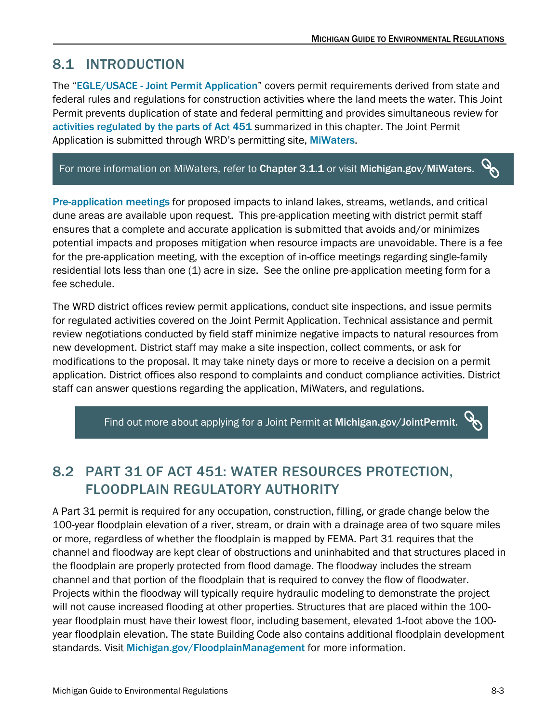# <span id="page-2-0"></span>8.1 INTRODUCTION

The "[EGLE/USACE - Joint Permit Application](https://www.michigan.gov/egle/about/organization/Water-Resources/Joint-Permit-Application)" covers permit requirements derived from state and federal rules and regulations for construction activities where the land meets the water. This Joint Permit prevents duplication of state and federal permitting and provides simultaneous review for [activities](https://www.michigan.gov/egle/about/organization/Water-Resources/Joint-Permit-Application/applicable-regulations) [regulated by the parts of Act 451](https://www.michigan.gov/egle/about/organization/Water-Resources/Joint-Permit-Application/applicable-regulations) summarized in this chapter. The Joint Permit Application is submitted through WRD's permitting site, [MiWaters](https://miwaters.deq.state.mi.us/ncore/external/home).

#### $\mathscr{S}$ For more information on MiWaters, refer to [Chapter 3.1.1](https://www.michigan.gov/-/media/Project/Websites/egle/Documents/Regulatory-Assistance/Guidebooks/MI-Guide-to-Environmental-Regulations/MI-Guide-Environmental-Regulations-Ch3-Wastewater.pdf#page=7) or visit [Michigan.gov/MiWaters](http://www.michigan.gov/MiWaters).

[Pre-application meetings](https://www.michigan.gov/egle/about/organization/Water-Resources/Joint-Permit-Application/pre-application-meetings-wetlands-lakes-streams) for proposed impacts to inland lakes, streams, wetlands, and critical dune areas are available upon request. This pre-application meeting with district permit staff ensures that a complete and accurate application is submitted that avoids and/or minimizes potential impacts and proposes mitigation when resource impacts are unavoidable. There is a fee for the pre-application meeting, with the exception of in-office meetings regarding single-family residential lots less than one (1) acre in size. See the online pre-application meeting form for a fee schedule.

The WRD district offices review permit applications, conduct site inspections, and issue permits for regulated activities covered on the Joint Permit Application. Technical assistance and permit review negotiations conducted by field staff minimize negative impacts to natural resources from new development. District staff may make a site inspection, collect comments, or ask for modifications to the proposal. It may take ninety days or more to receive a decision on a permit application. District offices also respond to complaints and conduct compliance activities. District staff can answer questions regarding the application, MiWaters, and regulations.

Find out more about applying for a Joint Permit at [Michigan.gov/JointPermit.](http://www.michigan.gov/JointPermit)

# <span id="page-2-1"></span>8.2 PART 31 OF ACT 451: WATER RESOURCES PROTECTION, FLOODPLAIN REGULATORY AUTHORITY

A Part 31 permit is required for any occupation, construction, filling, or grade change below the 100-year floodplain elevation of a river, stream, or drain with a drainage area of two square miles or more, regardless of whether the floodplain is mapped by FEMA. Part 31 requires that the channel and floodway are kept clear of obstructions and uninhabited and that structures placed in the floodplain are properly protected from flood damage. The floodway includes the stream channel and that portion of the floodplain that is required to convey the flow of floodwater. Projects within the floodway will typically require hydraulic modeling to demonstrate the project will not cause increased flooding at other properties. Structures that are placed within the 100 year floodplain must have their lowest floor, including basement, elevated 1-foot above the 100 year floodplain elevation. The state Building Code also contains additional floodplain development standards. Visit[Michigan.gov/FloodplainManagement](https://www.michigan.gov/egle/about/organization/water-resources/floodplain-management) for more information.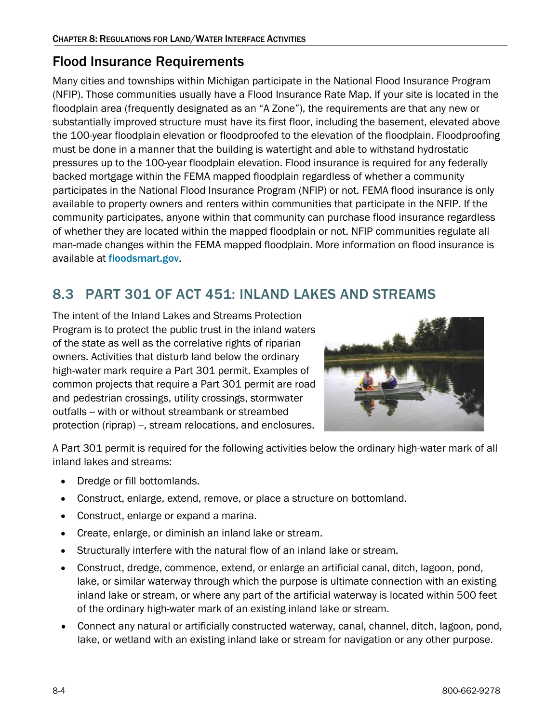### <span id="page-3-0"></span>Flood Insurance Requirements

Many cities and townships within Michigan participate in the National Flood Insurance Program (NFIP). Those communities usually have a Flood Insurance Rate Map. If your site is located in the floodplain area (frequently designated as an "A Zone"), the requirements are that any new or substantially improved structure must have its first floor, including the basement, elevated above the 100-year floodplain elevation or floodproofed to the elevation of the floodplain. Floodproofing must be done in a manner that the building is watertight and able to withstand hydrostatic pressures up to the 100-year floodplain elevation. Flood insurance is required for any federally backed mortgage within the FEMA mapped floodplain regardless of whether a community participates in the National Flood Insurance Program (NFIP) or not. FEMA flood insurance is only available to property owners and renters within communities that participate in the NFIP. If the community participates, anyone within that community can purchase flood insurance regardless of whether they are located within the mapped floodplain or not. NFIP communities regulate all man-made changes within the FEMA mapped floodplain. More information on flood insurance is available at[floodsmart.gov](https://www.floodsmart.gov/).

# <span id="page-3-1"></span>8.3 PART 301 OF ACT 451: INLAND LAKES AND STREAMS

The intent of the Inland Lakes and Streams Protection Program is to protect the public trust in the inland waters of the state as well as the correlative rights of riparian owners. Activities that disturb land below the ordinary high-water mark require a Part 301 permit. Examples of common projects that require a Part 301 permit are road and pedestrian crossings, utility crossings, stormwater outfalls -- with or without streambank or streambed protection (riprap) --, stream relocations, and enclosures.



A Part 301 permit is required for the following activities below the ordinary high-water mark of all inland lakes and streams:

- Dredge or fill bottomlands.
- Construct, enlarge, extend, remove, or place a structure on bottomland.
- Construct, enlarge or expand a marina.
- Create, enlarge, or diminish an inland lake or stream.
- Structurally interfere with the natural flow of an inland lake or stream.
- Construct, dredge, commence, extend, or enlarge an artificial canal, ditch, lagoon, pond, lake, or similar waterway through which the purpose is ultimate connection with an existing inland lake or stream, or where any part of the artificial waterway is located within 500 feet of the ordinary high-water mark of an existing inland lake or stream.
- Connect any natural or artificially constructed waterway, canal, channel, ditch, lagoon, pond, lake, or wetland with an existing inland lake or stream for navigation or any other purpose.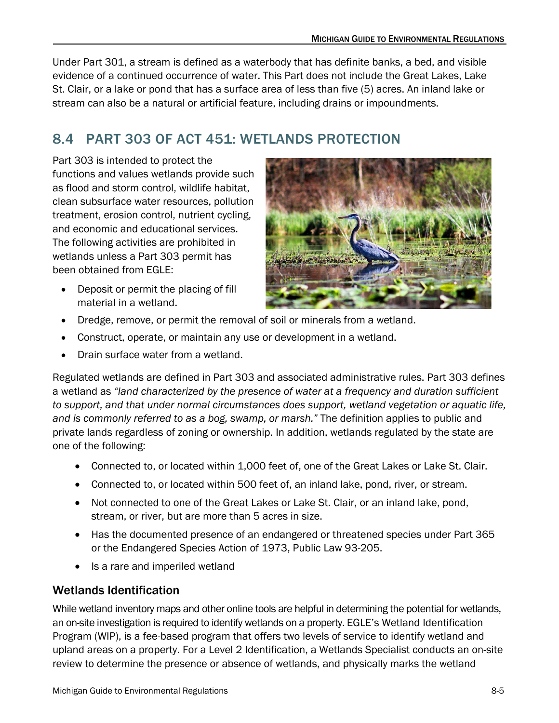Under Part 301, a stream is defined as a waterbody that has definite banks, a bed, and visible evidence of a continued occurrence of water. This Part does not include the Great Lakes, Lake St. Clair, or a lake or pond that has a surface area of less than five (5) acres. An inland lake or stream can also be a natural or artificial feature, including drains or impoundments.

# <span id="page-4-0"></span>8.4 PART 303 OF ACT 451: WETLANDS PROTECTION

Part 303 is intended to protect the functions and values wetlands provide such as flood and storm control, wildlife habitat, clean subsurface water resources, pollution treatment, erosion control, nutrient cycling, and economic and educational services. The following activities are prohibited in wetlands unless a Part 303 permit has been obtained from EGLE:



- Deposit or permit the placing of fill material in a wetland.
- Dredge, remove, or permit the removal of soil or minerals from a wetland.
- Construct, operate, or maintain any use or development in a wetland.
- Drain surface water from a wetland.

Regulated wetlands are defined in Part 303 and associated administrative rules. Part 303 defines a wetland as *"land characterized by the presence of water at a frequency and duration sufficient to support, and that under normal circumstances does support, wetland vegetation or aquatic life, and is commonly referred to as a bog, swamp, or marsh."* The definition applies to public and private lands regardless of zoning or ownership. In addition, wetlands regulated by the state are one of the following:

- Connected to, or located within 1,000 feet of, one of the Great Lakes or Lake St. Clair.
- Connected to, or located within 500 feet of, an inland lake, pond, river, or stream.
- Not connected to one of the Great Lakes or Lake St. Clair, or an inland lake, pond, stream, or river, but are more than 5 acres in size.
- Has the documented presence of an endangered or threatened species under Part 365 or the Endangered Species Action of 1973, Public Law 93-205.
- Is a rare and imperiled wetland

#### Wetlands Identification

While wetland inventory maps and other online tools are helpful in determining the potential for wetlands, an on-site investigation is required to identify wetlands on a property. EGLE's Wetland Identification Program (WIP), is a fee-based program that offers two levels of service to identify wetland and upland areas on a property. For a Level 2 Identification, a Wetlands Specialist conducts an on-site review to determine the presence or absence of wetlands, and physically marks the wetland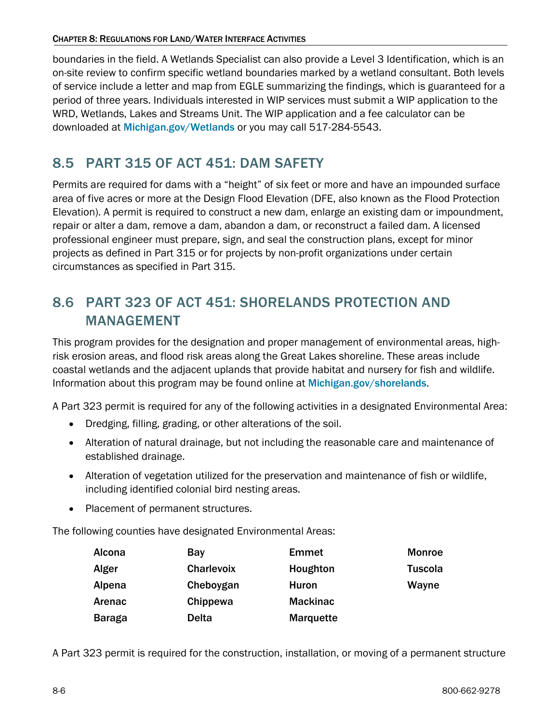boundaries in the field. A Wetlands Specialist can also provide a Level 3 Identification, which is an on-site review to confirm specific wetland boundaries marked by a wetland consultant. Both levels of service include a letter and map from EGLE summarizing the findings, which is guaranteed for a period of three years. Individuals interested in WIP services must submit a WIP application to the WRD, Wetlands, Lakes and Streams Unit. The WIP application and a fee calculator can be downloaded at [Michigan.gov/Wetlands](https://www.michigan.gov/egle/about/organization/water-resources/wetlands) or you may call 517-284-5543.

### <span id="page-5-0"></span>8.5 PART 315 OF ACT 451: DAM SAFETY

Permits are required for dams with a "height" of six feet or more and have an impounded surface area of five acres or more at the Design Flood Elevation (DFE, also known as the Flood Protection Elevation). A permit is required to construct a new dam, enlarge an existing dam or impoundment, repair or alter a dam, remove a dam, abandon a dam, or reconstruct a failed dam. A licensed professional engineer must prepare, sign, and seal the construction plans, except for minor projects as defined in Part 315 or for projects by non-profit organizations under certain circumstances as specified in Part 315.

## <span id="page-5-1"></span>8.6 PART 323 OF ACT 451: SHORELANDS PROTECTION AND MANAGEMENT

This program provides for the designation and proper management of environmental areas, highrisk erosion areas, and flood risk areas along the Great Lakes shoreline. These areas include coastal wetlands and the adjacent uplands that provide habitat and nursery for fish and wildlife. Information about this program may be found online at [Michigan.gov/shorelands](https://www.michigan.gov/egle/about/organization/water-resources/shoreland-management).

A Part 323 permit is required for any of the following activities in a designated Environmental Area:

- Dredging, filling, grading, or other alterations of the soil.
- Alteration of natural drainage, but not including the reasonable care and maintenance of established drainage.
- Alteration of vegetation utilized for the preservation and maintenance of fish or wildlife, including identified colonial bird nesting areas.
- Placement of permanent structures.

The following counties have designated Environmental Areas:

| Alcona        | Bay               | <b>Emmet</b>     | <b>Monroe</b> |
|---------------|-------------------|------------------|---------------|
| Alger         | <b>Charlevoix</b> | Houghton         | Tuscola       |
| Alpena        | Cheboygan         | Huron            | Wayne         |
| Arenac        | Chippewa          | <b>Mackinac</b>  |               |
| <b>Baraga</b> | <b>Delta</b>      | <b>Marquette</b> |               |

A Part 323 permit is required for the construction, installation, or moving of a permanent structure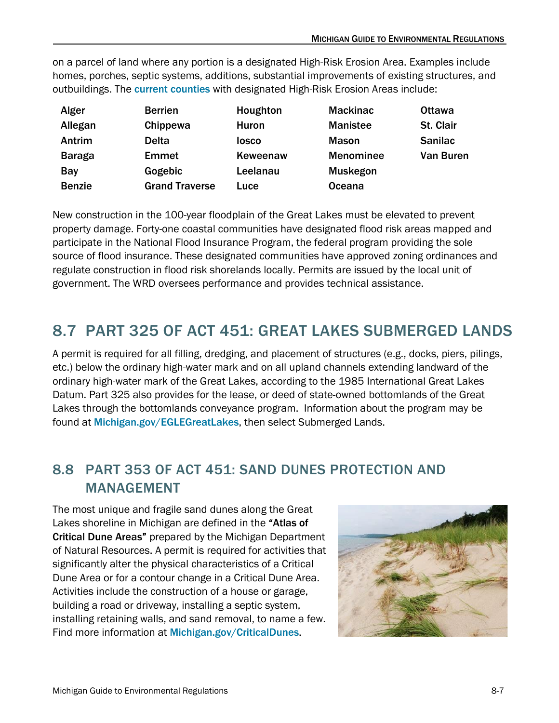on a parcel of land where any portion is a designated High-Risk Erosion Area. Examples include homes, porches, septic systems, additions, substantial improvements of existing structures, and outbuildings.The [current counties](https://www.michigan.gov/egle/about/organization/Water-Resources/shoreland-management/high-risk-erosion-areas) with designated High-Risk Erosion Areas include:

| Alger         | <b>Berrien</b>        | Houghton | <b>Mackinac</b>  | <b>Ottawa</b>  |
|---------------|-----------------------|----------|------------------|----------------|
| Allegan       | Chippewa              | Huron    | <b>Manistee</b>  | St. Clair      |
| Antrim        | <b>Delta</b>          | losco    | <b>Mason</b>     | <b>Sanilac</b> |
| <b>Baraga</b> | <b>Emmet</b>          | Keweenaw | <b>Menominee</b> | Van Buren      |
| Bay           | Gogebic               | Leelanau | <b>Muskegon</b>  |                |
| <b>Benzie</b> | <b>Grand Traverse</b> | Luce     | <b>Oceana</b>    |                |

New construction in the 100-year floodplain of the Great Lakes must be elevated to prevent property damage. Forty-one coastal communities have designated flood risk areas mapped and participate in the National Flood Insurance Program, the federal program providing the sole source of flood insurance. These designated communities have approved zoning ordinances and regulate construction in flood risk shorelands locally. Permits are issued by the local unit of government. The WRD oversees performance and provides technical assistance.

# <span id="page-6-0"></span>8.7 PART 325 OF ACT 451: GREAT LAKES SUBMERGED LANDS

A permit is required for all filling, dredging, and placement of structures (e.g., docks, piers, pilings, etc.) below the ordinary high-water mark and on all upland channels extending landward of the ordinary high-water mark of the Great Lakes, according to the 1985 International Great Lakes Datum. Part 325 also provides for the lease, or deed of state-owned bottomlands of the Great Lakes through the bottomlands conveyance program. Information about the program may be found at [Michigan.gov/EGLEGreatLakes](https://www.michigan.gov/egle/about/organization/office-of-the-great-lakes), then select Submerged Lands.

# <span id="page-6-1"></span>8.8 PART 353 OF ACT 451: SAND DUNES PROTECTION AND MANAGEMENT

The most unique and fragile sand dunes along the Great Lakes shoreline in Michigan are defined in the "Atlas of Critical Dune Areas" prepared by the Michigan Department of Natural Resources. A permit is required for activities that significantly alter the physical characteristics of a Critical Dune Area or for a contour change in a Critical Dune Area. Activities include the construction of a house or garage, building a road or driveway, installing a septic system, installing retaining walls, and sand removal, to name a few. Find more information at [Michigan.gov/CriticalDunes](https://www.michigan.gov/egle/about/organization/water-resources/sand-dunes).

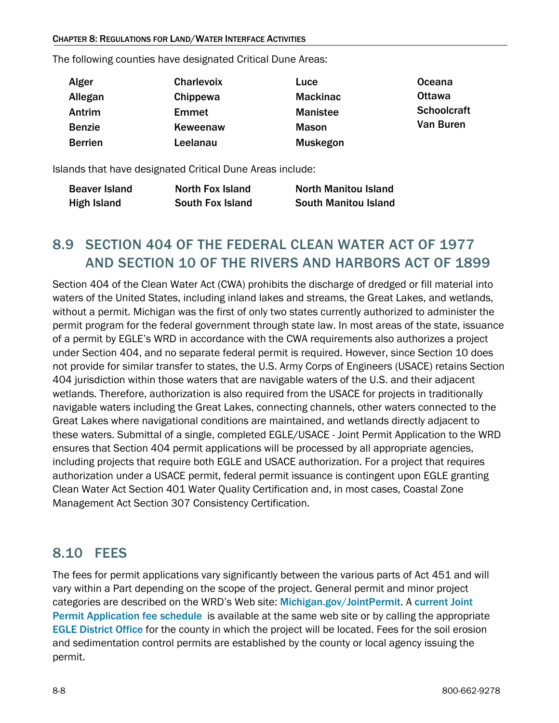The following counties have designated Critical Dune Areas:

| Alger          | Charlevoix   | Luce            | Oceana             |
|----------------|--------------|-----------------|--------------------|
| Allegan        | Chippewa     | <b>Mackinac</b> | <b>Ottawa</b>      |
| Antrim         | <b>Emmet</b> | <b>Manistee</b> | <b>Schoolcraft</b> |
| <b>Benzie</b>  | Keweenaw     | <b>Mason</b>    | Van Buren          |
| <b>Berrien</b> | Leelanau     | <b>Muskegon</b> |                    |

Islands that have designated Critical Dune Areas include:

| <b>Beaver Island</b> | <b>North Fox Island</b> | <b>North Manitou Island</b> |
|----------------------|-------------------------|-----------------------------|
| High Island          | <b>South Fox Island</b> | <b>South Manitou Island</b> |

# <span id="page-7-0"></span>8.9 SECTION 404 OF THE FEDERAL CLEAN WATER ACT OF 1977 AND SECTION 10 OF THE RIVERS AND HARBORS ACT OF 1899

Section 404 of the Clean Water Act (CWA) prohibits the discharge of dredged or fill material into waters of the United States, including inland lakes and streams, the Great Lakes, and wetlands, without a permit. Michigan was the first of only two states currently authorized to administer the permit program for the federal government through state law. In most areas of the state, issuance of a permit by EGLE's WRD in accordance with the CWA requirements also authorizes a project under Section 404, and no separate federal permit is required. However, since Section 10 does not provide for similar transfer to states, the U.S. Army Corps of Engineers (USACE) retains Section 404 jurisdiction within those waters that are navigable waters of the U.S. and their adjacent wetlands. Therefore, authorization is also required from the USACE for projects in traditionally navigable waters including the Great Lakes, connecting channels, other waters connected to the Great Lakes where navigational conditions are maintained, and wetlands directly adjacent to these waters. Submittal of a single, completed EGLE/USACE - Joint Permit Application to the WRD ensures that Section 404 permit applications will be processed by all appropriate agencies, including projects that require both EGLE and USACE authorization. For a project that requires authorization under a USACE permit, federal permit issuance is contingent upon EGLE granting Clean Water Act Section 401 Water Quality Certification and, in most cases, Coastal Zone Management Act Section 307 Consistency Certification.

### <span id="page-7-1"></span>8.10 FEES

The fees for permit applications vary significantly between the various parts of Act 451 and will vary within a Part depending on the scope of the project. General permit and minor project categories are described on the WRD's Web site: [Michigan.gov/JointPermit](https://www.michigan.gov/egle/about/organization/water-resources/joint-permit-application). A current Joint [Permit Application fee schedule](https://www.michigan.gov/-/media/Project/Websites/egle/Documents/Programs/WRD/Wetlands/Joint-Permit-Application-Fee-Schedule.pdf) is available at the same web site or by calling the appropriate [EGLE District Office](https://www.michigan.gov/egle/contact/district-office-locations) for the county in which the project will be located. Fees for the soil erosion and sedimentation control permits are established by the county or local agency issuing the permit.